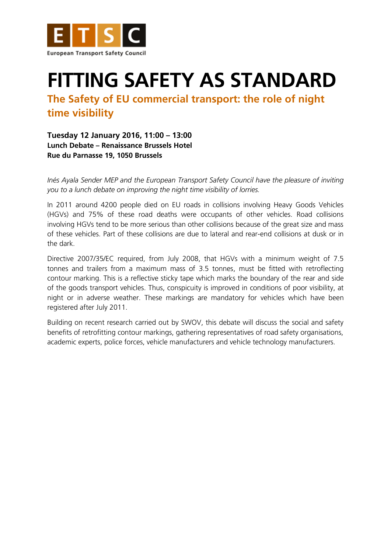

## **FITTING SAFETY AS STANDARD**

**The Safety of EU commercial transport: the role of night time visibility**

**Tuesday 12 January 2016, 11:00 – 13:00 Lunch Debate – Renaissance Brussels Hotel Rue du Parnasse 19, 1050 Brussels**

*Inés Ayala Sender MEP and the European Transport Safety Council have the pleasure of inviting you to a lunch debate on improving the night time visibility of lorries.*

In 2011 around 4200 people died on EU roads in collisions involving Heavy Goods Vehicles (HGVs) and 75% of these road deaths were occupants of other vehicles. Road collisions involving HGVs tend to be more serious than other collisions because of the great size and mass of these vehicles. Part of these collisions are due to lateral and rear-end collisions at dusk or in the dark.

Directive 2007/35/EC required, from July 2008, that HGVs with a minimum weight of 7.5 tonnes and trailers from a maximum mass of 3.5 tonnes, must be fitted with retroflecting contour marking. This is a reflective sticky tape which marks the boundary of the rear and side of the goods transport vehicles. Thus, conspicuity is improved in conditions of poor visibility, at night or in adverse weather. These markings are mandatory for vehicles which have been registered after July 2011.

Building on recent research carried out by SWOV, this debate will discuss the social and safety benefits of retrofitting contour markings, gathering representatives of road safety organisations, academic experts, police forces, vehicle manufacturers and vehicle technology manufacturers.